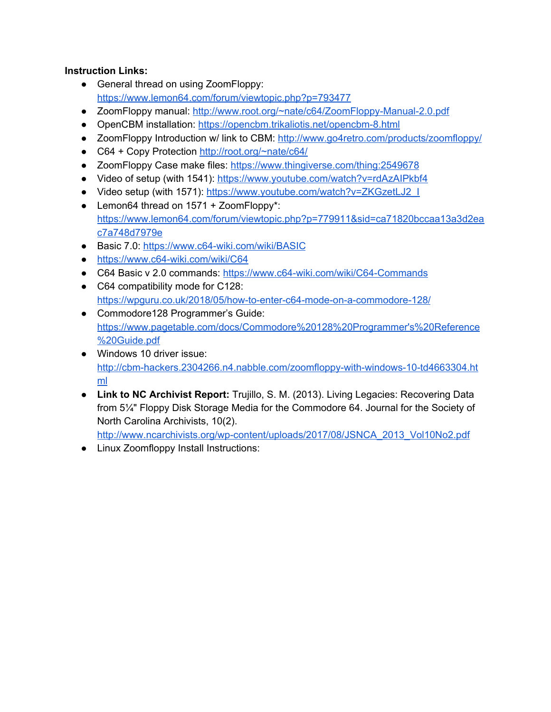### **Instruction Links:**

- General thread on using ZoomFloppy: <https://www.lemon64.com/forum/viewtopic.php?p=793477>
- ZoomFloppy manual: <http://www.root.org/~nate/c64/ZoomFloppy-Manual-2.0.pdf>
- OpenCBM installation: <https://opencbm.trikaliotis.net/opencbm-8.html>
- ZoomFloppy Introduction w/ link to CBM: <http://www.go4retro.com/products/zoomfloppy/>
- C64 + Copy Protection <http://root.org/~nate/c64/>
- ZoomFloppy Case make files: <https://www.thingiverse.com/thing:2549678>
- Video of setup (with 1541): <https://www.youtube.com/watch?v=rdAzAIPkbf4>
- Video setup (with 1571): [https://www.youtube.com/watch?v=ZKGzetLJ2\\_I](https://www.youtube.com/watch?v=ZKGzetLJ2_I)
- Lemon64 thread on 1571 + ZoomFloppy\*: [https://www.lemon64.com/forum/viewtopic.php?p=779911&sid=ca71820bccaa13a3d2ea](https://www.lemon64.com/forum/viewtopic.php?p=779911&sid=ca71820bccaa13a3d2eac7a748d7979e) [c7a748d7979e](https://www.lemon64.com/forum/viewtopic.php?p=779911&sid=ca71820bccaa13a3d2eac7a748d7979e)
- Basic 7.0: <https://www.c64-wiki.com/wiki/BASIC>
- <https://www.c64-wiki.com/wiki/C64>
- C64 Basic v 2.0 commands: <https://www.c64-wiki.com/wiki/C64-Commands>
- C64 compatibility mode for C128: <https://wpguru.co.uk/2018/05/how-to-enter-c64-mode-on-a-commodore-128/>
- Commodore128 Programmer's Guide: [https://www.pagetable.com/docs/Commodore%20128%20Programmer's%20Reference](https://www.pagetable.com/docs/Commodore%20128%20Programmer) [%20Guide.pdf](https://www.pagetable.com/docs/Commodore%20128%20Programmer)
- Windows 10 driver issue: [http://cbm-hackers.2304266.n4.nabble.com/zoomfloppy-with-windows-10-td4663304.ht](http://cbm-hackers.2304266.n4.nabble.com/zoomfloppy-with-windows-10-td4663304.html) [ml](http://cbm-hackers.2304266.n4.nabble.com/zoomfloppy-with-windows-10-td4663304.html)
- **Link to NC Archivist Report:** Trujillo, S. M. (2013). Living Legacies: Recovering Data from 5¼" Floppy Disk Storage Media for the Commodore 64. Journal for the Society of North Carolina Archivists, 10(2).

[http://www.ncarchivists.org/wp-content/uploads/2017/08/JSNCA\\_2013\\_Vol10No2.pdf](http://www.ncarchivists.org/wp-content/uploads/2017/08/JSNCA_2013_Vol10No2.pdf)

● Linux Zoomfloppy Install Instructions: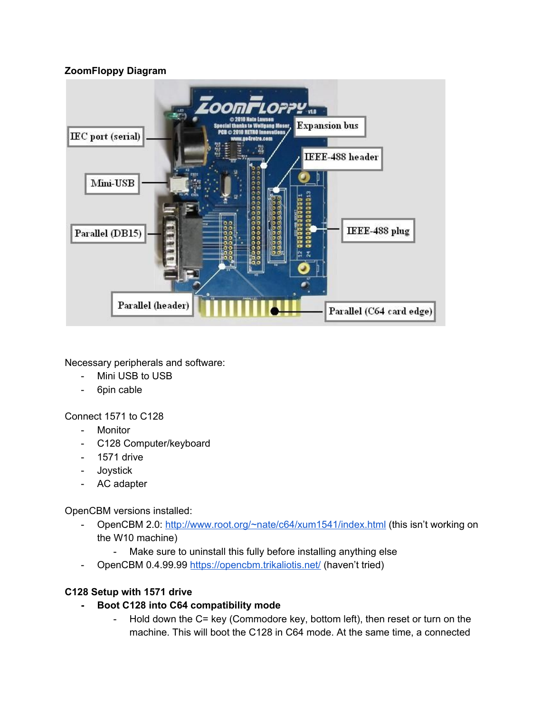### **ZoomFloppy Diagram**



Necessary peripherals and software:

- Mini USB to USB
- 6pin cable

Connect 1571 to C128

- Monitor
- C128 Computer/keyboard
- 1571 drive
- Joystick
- AC adapter

OpenCBM versions installed:

- OpenCBM 2.0: <http://www.root.org/~nate/c64/xum1541/index.html> (this isn't working on the W10 machine)
	- Make sure to uninstall this fully before installing anything else
- OpenCBM 0.4.99.99 <https://opencbm.trikaliotis.net/> (haven't tried)

# **C128 Setup with 1571 drive**

- **- Boot C128 into C64 compatibility mode**
	- Hold down the C= key (Commodore key, bottom left), then reset or turn on the machine. This will boot the C128 in C64 mode. At the same time, a connected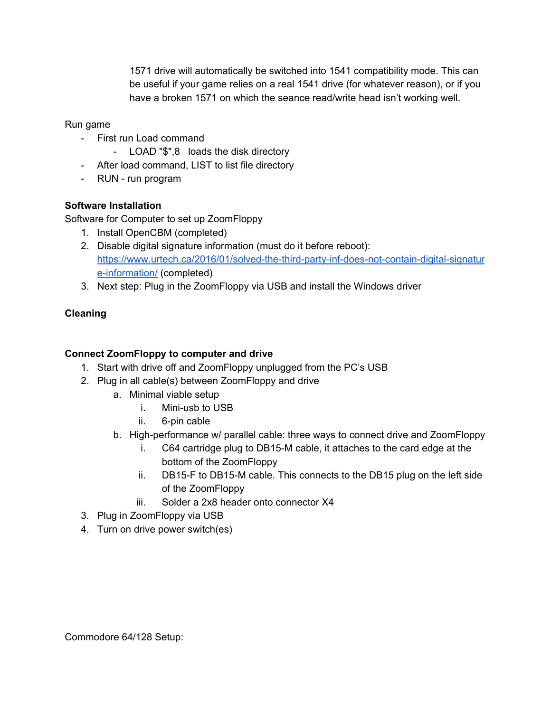1571 drive will automatically be switched into 1541 compatibility mode. This can be useful if your game relies on a real 1541 drive (for whatever reason), or if you have a broken 1571 on which the seance read/write head isn't working well.

Run game

- First run Load command
	- LOAD "\$",8 loads the disk directory
- After load command, LIST to list file directory
- RUN run program

# **Software Installation**

Software for Computer to set up ZoomFloppy

- 1. Install OpenCBM (completed)
- 2. Disable digital signature information (must do it before reboot): [https://www.urtech.ca/2016/01/solved-the-third-party-inf-does-not-contain-digital-signatur](https://www.urtech.ca/2016/01/solved-the-third-party-inf-does-not-contain-digital-signature-information/) [e-information/](https://www.urtech.ca/2016/01/solved-the-third-party-inf-does-not-contain-digital-signature-information/) (completed)
- 3. Next step: Plug in the ZoomFloppy via USB and install the Windows driver

# **Cleaning**

# **Connect ZoomFloppy to computer and drive**

- 1. Start with drive off and ZoomFloppy unplugged from the PC's USB
- 2. Plug in all cable(s) between ZoomFloppy and drive
	- a. Minimal viable setup
		- i. Mini-usb to USB
		- ii. 6-pin cable
	- b. High-performance w/ parallel cable: three ways to connect drive and ZoomFloppy
		- i. C64 cartridge plug to DB15-M cable, it attaches to the card edge at the bottom of the ZoomFloppy
		- ii. DB15-F to DB15-M cable. This connects to the DB15 plug on the left side of the ZoomFloppy
		- iii. Solder a 2x8 header onto connector X4
- 3. Plug in ZoomFloppy via USB
- 4. Turn on drive power switch(es)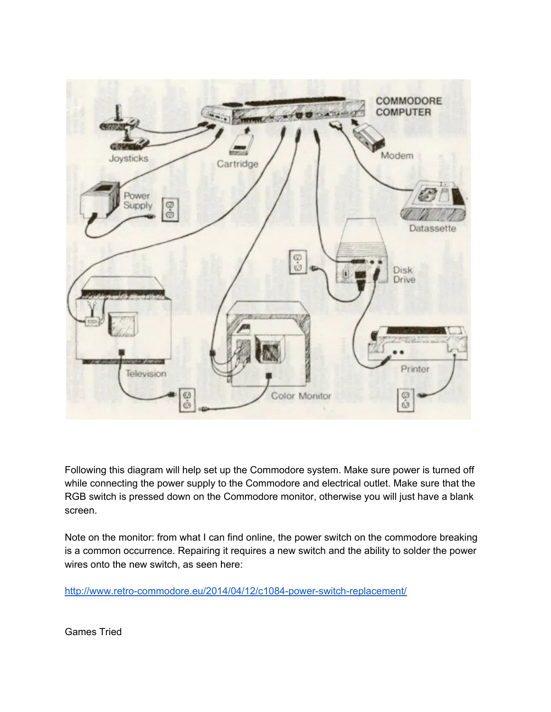

Following this diagram will help set up the Commodore system. Make sure power is turned off while connecting the power supply to the Commodore and electrical outlet. Make sure that the RGB switch is pressed down on the Commodore monitor, otherwise you will just have a blank screen.

Note on the monitor: from what I can find online, the power switch on the commodore breaking is a common occurrence. Repairing it requires a new switch and the ability to solder the power wires onto the new switch, as seen here:

<http://www.retro-commodore.eu/2014/04/12/c1084-power-switch-replacement/>

Games Tried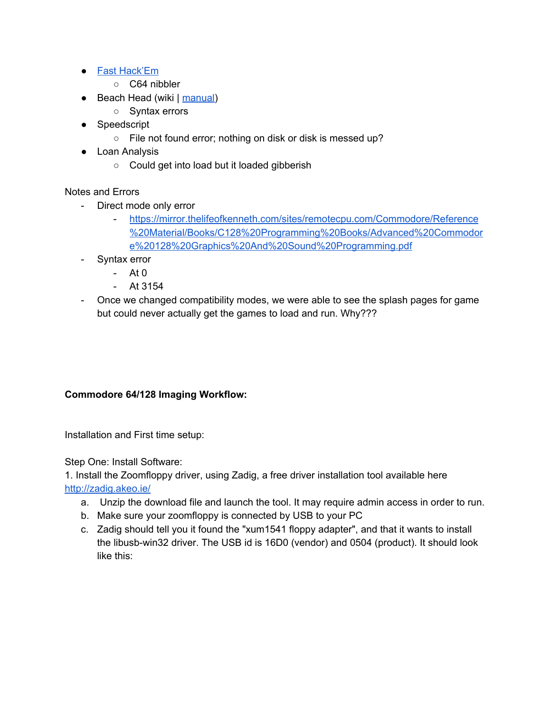- Fast [Hack'Em](https://en.wikipedia.org/wiki/Fast_Hack%27em)
	- C64 nibbler
- Beach Head (wiki | [manual](https://www.mocagh.org/miscgame/beachhead-manual.pdf))
	- Syntax errors
- Speedscript
	- File not found error; nothing on disk or disk is messed up?
- Loan Analysis
	- Could get into load but it loaded gibberish

Notes and Errors

- Direct mode only error
	- [https://mirror.thelifeofkenneth.com/sites/remotecpu.com/Commodore/Reference](https://mirror.thelifeofkenneth.com/sites/remotecpu.com/Commodore/Reference%20Material/Books/C128%20Programming%20Books/Advanced%20Commodore%20128%20Graphics%20And%20Sound%20Programming.pdf) [%20Material/Books/C128%20Programming%20Books/Advanced%20Commodor](https://mirror.thelifeofkenneth.com/sites/remotecpu.com/Commodore/Reference%20Material/Books/C128%20Programming%20Books/Advanced%20Commodore%20128%20Graphics%20And%20Sound%20Programming.pdf) [e%20128%20Graphics%20And%20Sound%20Programming.pdf](https://mirror.thelifeofkenneth.com/sites/remotecpu.com/Commodore/Reference%20Material/Books/C128%20Programming%20Books/Advanced%20Commodore%20128%20Graphics%20And%20Sound%20Programming.pdf)
- Syntax error
	- At 0
	- At 3154
- Once we changed compatibility modes, we were able to see the splash pages for game but could never actually get the games to load and run. Why???

### **Commodore 64/128 Imaging Workflow:**

Installation and First time setup:

Step One: Install Software:

1. Install the Zoomfloppy driver, using Zadig, a free driver installation tool available here <http://zadig.akeo.ie/>

- a. Unzip the download file and launch the tool. It may require admin access in order to run.
- b. Make sure your zoomfloppy is connected by USB to your PC
- c. Zadig should tell you it found the "xum1541 floppy adapter", and that it wants to install the libusb-win32 driver. The USB id is 16D0 (vendor) and 0504 (product). It should look like this: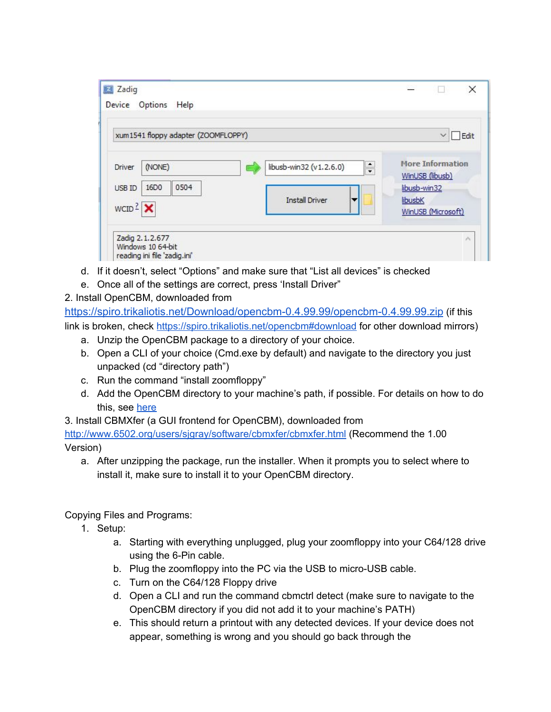| xum1541 floppy adapter (ZOOMFLOPPY)                                               |                                                                      | Edit<br>$\checkmark$                                                                        |
|-----------------------------------------------------------------------------------|----------------------------------------------------------------------|---------------------------------------------------------------------------------------------|
| (NONE)<br><b>Driver</b><br>0504<br>16D <sub>0</sub><br>USB ID<br>$WCID2$ $\times$ | $\frac{1}{\tau}$<br>libusb-win32 (v1.2.6.0)<br><b>Install Driver</b> | <b>More Information</b><br>WinUSB (libusb)<br>libusb-win32<br>libusbK<br>WinUSB (Microsoft) |

- d. If it doesn't, select "Options" and make sure that "List all devices" is checked
- e. Once all of the settings are correct, press 'Install Driver"
- 2. Install OpenCBM, downloaded from

<https://spiro.trikaliotis.net/Download/opencbm-0.4.99.99/opencbm-0.4.99.99.zip> (if this link is broken, check <https://spiro.trikaliotis.net/opencbm#download> for other download mirrors)

- a. Unzip the OpenCBM package to a directory of your choice.
- b. Open a CLI of your choice (Cmd.exe by default) and navigate to the directory you just unpacked (cd "directory path")
- c. Run the command "install zoomfloppy"
- d. Add the OpenCBM directory to your machine's path, if possible. For details on how to do this, see [here](https://helpdeskgeek.com/windows-10/add-windows-path-environment-variable/)
- 3. Install CBMXfer (a GUI frontend for OpenCBM), downloaded from

<http://www.6502.org/users/sjgray/software/cbmxfer/cbmxfer.html> (Recommend the 1.00 Version)

a. After unzipping the package, run the installer. When it prompts you to select where to install it, make sure to install it to your OpenCBM directory.

Copying Files and Programs:

- 1. Setup:
	- a. Starting with everything unplugged, plug your zoomfloppy into your C64/128 drive using the 6-Pin cable.
	- b. Plug the zoomfloppy into the PC via the USB to micro-USB cable.
	- c. Turn on the C64/128 Floppy drive
	- d. Open a CLI and run the command cbmctrl detect (make sure to navigate to the OpenCBM directory if you did not add it to your machine's PATH)
	- e. This should return a printout with any detected devices. If your device does not appear, something is wrong and you should go back through the